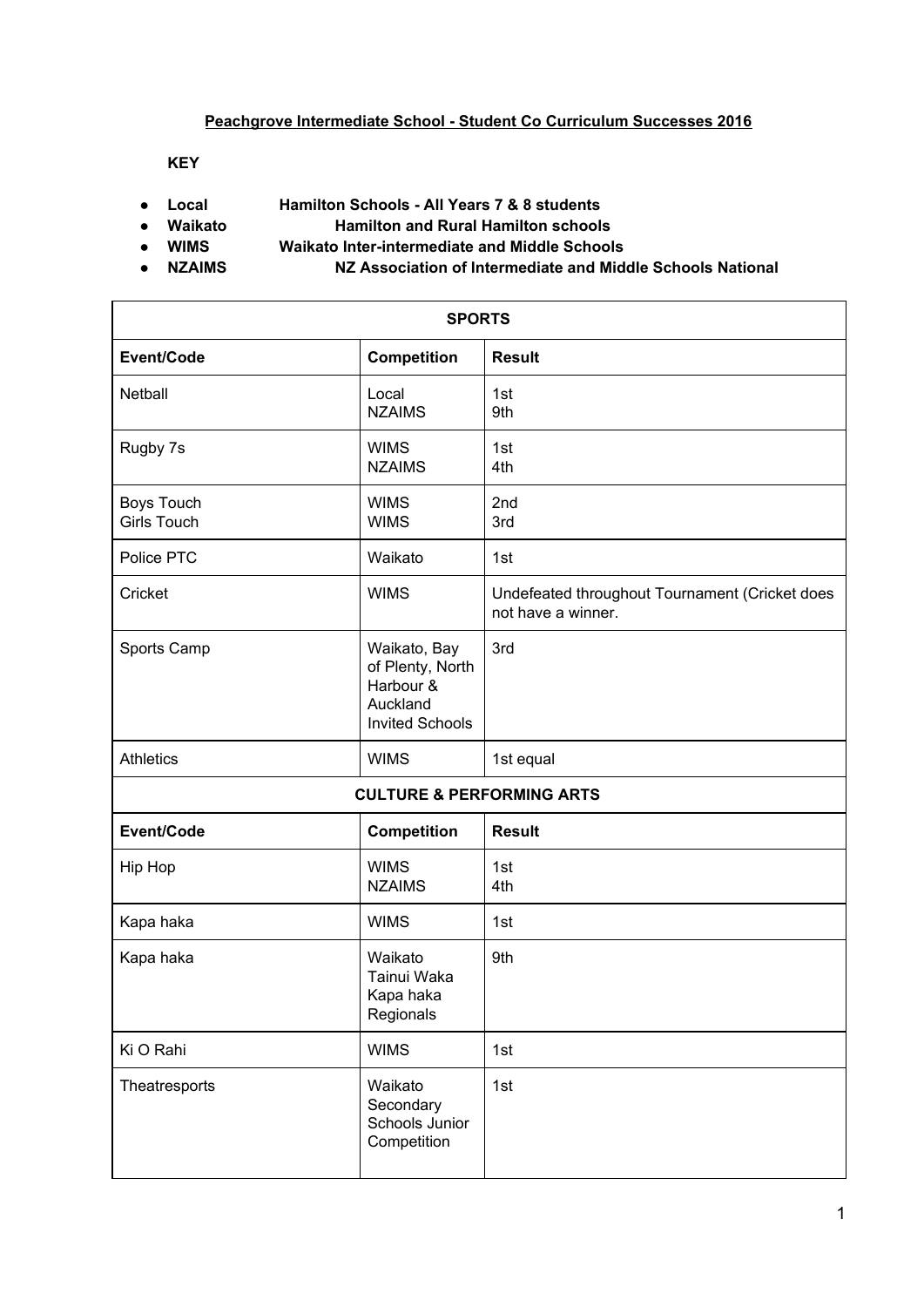## **Peachgrove Intermediate School - Student Co Curriculum Successes 2016**

**KEY**

- **● Local Hamilton Schools - All Years 7 & 8 students**
- **● Waikato Hamilton and Rural Hamilton schools**
- **● WIMS Waikato Inter-intermediate and Middle Schools**
- 
- **● NZAIMS NZ Association of Intermediate and Middle Schools National**

| <b>SPORTS</b>                           |                                                                                     |                                                                      |  |
|-----------------------------------------|-------------------------------------------------------------------------------------|----------------------------------------------------------------------|--|
| Event/Code                              | Competition                                                                         | <b>Result</b>                                                        |  |
| Netball                                 | Local<br><b>NZAIMS</b>                                                              | 1st<br>9th                                                           |  |
| Rugby 7s                                | <b>WIMS</b><br><b>NZAIMS</b>                                                        | 1st<br>4th                                                           |  |
| <b>Boys Touch</b><br><b>Girls Touch</b> | <b>WIMS</b><br><b>WIMS</b>                                                          | 2nd<br>3rd                                                           |  |
| Police PTC                              | Waikato                                                                             | 1st                                                                  |  |
| Cricket                                 | <b>WIMS</b>                                                                         | Undefeated throughout Tournament (Cricket does<br>not have a winner. |  |
| Sports Camp                             | Waikato, Bay<br>of Plenty, North<br>Harbour &<br>Auckland<br><b>Invited Schools</b> | 3rd                                                                  |  |
| <b>Athletics</b>                        | <b>WIMS</b>                                                                         | 1st equal                                                            |  |
| <b>CULTURE &amp; PERFORMING ARTS</b>    |                                                                                     |                                                                      |  |
| Event/Code                              | <b>Competition</b>                                                                  | <b>Result</b>                                                        |  |
| Hip Hop                                 | <b>WIMS</b><br><b>NZAIMS</b>                                                        | 1st<br>4th                                                           |  |
| Kapa haka                               | <b>WIMS</b>                                                                         | 1st                                                                  |  |
| Kapa haka                               | Waikato<br>Tainui Waka<br>Kapa haka<br>Regionals                                    | 9th                                                                  |  |
| Ki O Rahi                               | <b>WIMS</b>                                                                         | 1st                                                                  |  |
| Theatresports                           | Waikato<br>Secondary<br>Schools Junior<br>Competition                               | 1st                                                                  |  |